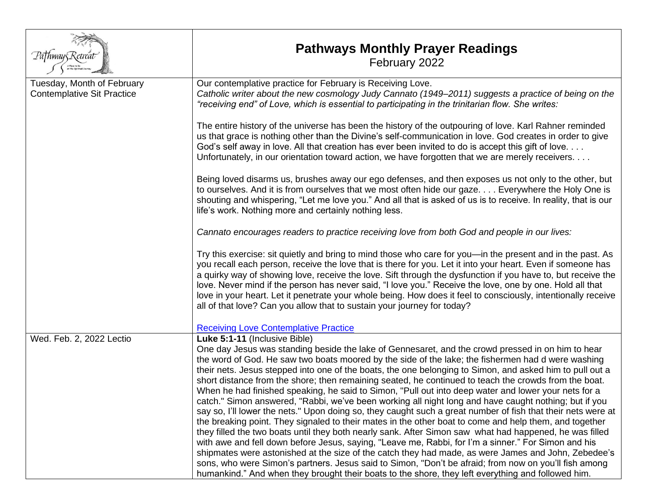| Pa†hway§Retrei                                                  | <b>Pathways Monthly Prayer Readings</b><br>February 2022                                                                                                                                                                                                                                                                                                                                                                                                                                                                                                                                                                                                                                                                                                                                                                                                                                                                                                                                                                                                                                                                                                                                                                                                                                                                                                                                                                                         |
|-----------------------------------------------------------------|--------------------------------------------------------------------------------------------------------------------------------------------------------------------------------------------------------------------------------------------------------------------------------------------------------------------------------------------------------------------------------------------------------------------------------------------------------------------------------------------------------------------------------------------------------------------------------------------------------------------------------------------------------------------------------------------------------------------------------------------------------------------------------------------------------------------------------------------------------------------------------------------------------------------------------------------------------------------------------------------------------------------------------------------------------------------------------------------------------------------------------------------------------------------------------------------------------------------------------------------------------------------------------------------------------------------------------------------------------------------------------------------------------------------------------------------------|
| Tuesday, Month of February<br><b>Contemplative Sit Practice</b> | Our contemplative practice for February is Receiving Love.<br>Catholic writer about the new cosmology Judy Cannato (1949–2011) suggests a practice of being on the<br>"receiving end" of Love, which is essential to participating in the trinitarian flow. She writes:                                                                                                                                                                                                                                                                                                                                                                                                                                                                                                                                                                                                                                                                                                                                                                                                                                                                                                                                                                                                                                                                                                                                                                          |
|                                                                 | The entire history of the universe has been the history of the outpouring of love. Karl Rahner reminded<br>us that grace is nothing other than the Divine's self-communication in love. God creates in order to give<br>God's self away in love. All that creation has ever been invited to do is accept this gift of love.<br>Unfortunately, in our orientation toward action, we have forgotten that we are merely receivers.                                                                                                                                                                                                                                                                                                                                                                                                                                                                                                                                                                                                                                                                                                                                                                                                                                                                                                                                                                                                                  |
|                                                                 | Being loved disarms us, brushes away our ego defenses, and then exposes us not only to the other, but<br>to ourselves. And it is from ourselves that we most often hide our gaze. Everywhere the Holy One is<br>shouting and whispering, "Let me love you." And all that is asked of us is to receive. In reality, that is our<br>life's work. Nothing more and certainly nothing less.                                                                                                                                                                                                                                                                                                                                                                                                                                                                                                                                                                                                                                                                                                                                                                                                                                                                                                                                                                                                                                                          |
|                                                                 | Cannato encourages readers to practice receiving love from both God and people in our lives:                                                                                                                                                                                                                                                                                                                                                                                                                                                                                                                                                                                                                                                                                                                                                                                                                                                                                                                                                                                                                                                                                                                                                                                                                                                                                                                                                     |
|                                                                 | Try this exercise: sit quietly and bring to mind those who care for you-in the present and in the past. As<br>you recall each person, receive the love that is there for you. Let it into your heart. Even if someone has<br>a quirky way of showing love, receive the love. Sift through the dysfunction if you have to, but receive the<br>love. Never mind if the person has never said, "I love you." Receive the love, one by one. Hold all that<br>love in your heart. Let it penetrate your whole being. How does it feel to consciously, intentionally receive<br>all of that love? Can you allow that to sustain your journey for today?                                                                                                                                                                                                                                                                                                                                                                                                                                                                                                                                                                                                                                                                                                                                                                                                |
|                                                                 | <b>Receiving Love Contemplative Practice</b>                                                                                                                                                                                                                                                                                                                                                                                                                                                                                                                                                                                                                                                                                                                                                                                                                                                                                                                                                                                                                                                                                                                                                                                                                                                                                                                                                                                                     |
| Wed. Feb. 2, 2022 Lectio                                        | Luke 5:1-11 (Inclusive Bible)<br>One day Jesus was standing beside the lake of Gennesaret, and the crowd pressed in on him to hear<br>the word of God. He saw two boats moored by the side of the lake; the fishermen had d were washing<br>their nets. Jesus stepped into one of the boats, the one belonging to Simon, and asked him to pull out a<br>short distance from the shore; then remaining seated, he continued to teach the crowds from the boat.<br>When he had finished speaking, he said to Simon, "Pull out into deep water and lower your nets for a<br>catch." Simon answered, "Rabbi, we've been working all night long and have caught nothing; but if you<br>say so, I'll lower the nets." Upon doing so, they caught such a great number of fish that their nets were at<br>the breaking point. They signaled to their mates in the other boat to come and help them, and together<br>they filled the two boats until they both nearly sank. After Simon saw what had happened, he was filled<br>with awe and fell down before Jesus, saying, "Leave me, Rabbi, for I'm a sinner." For Simon and his<br>shipmates were astonished at the size of the catch they had made, as were James and John, Zebedee's<br>sons, who were Simon's partners. Jesus said to Simon, "Don't be afraid; from now on you'll fish among<br>humankind." And when they brought their boats to the shore, they left everything and followed him. |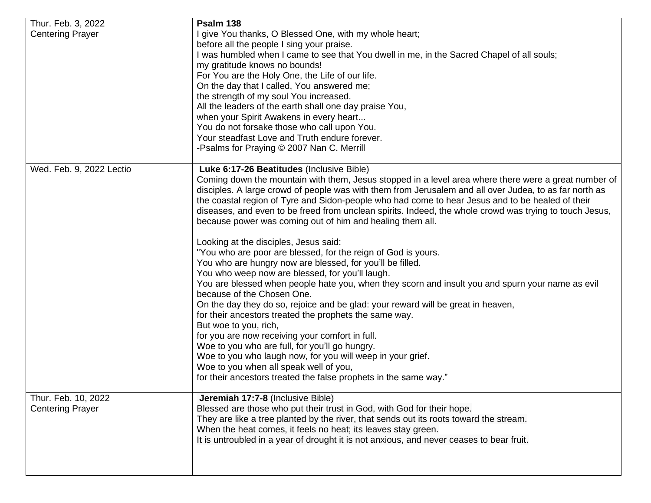| Thur. Feb. 3, 2022                             | Psalm 138                                                                                               |
|------------------------------------------------|---------------------------------------------------------------------------------------------------------|
| <b>Centering Prayer</b>                        | I give You thanks, O Blessed One, with my whole heart;                                                  |
|                                                | before all the people I sing your praise.                                                               |
|                                                | I was humbled when I came to see that You dwell in me, in the Sacred Chapel of all souls;               |
|                                                | my gratitude knows no bounds!                                                                           |
|                                                | For You are the Holy One, the Life of our life.                                                         |
|                                                | On the day that I called, You answered me;                                                              |
|                                                | the strength of my soul You increased.                                                                  |
|                                                | All the leaders of the earth shall one day praise You,                                                  |
|                                                | when your Spirit Awakens in every heart                                                                 |
|                                                | You do not forsake those who call upon You.                                                             |
|                                                | Your steadfast Love and Truth endure forever.                                                           |
|                                                | -Psalms for Praying © 2007 Nan C. Merrill                                                               |
| Wed. Feb. 9, 2022 Lectio                       | Luke 6:17-26 Beatitudes (Inclusive Bible)                                                               |
|                                                | Coming down the mountain with them, Jesus stopped in a level area where there were a great number of    |
|                                                | disciples. A large crowd of people was with them from Jerusalem and all over Judea, to as far north as  |
|                                                | the coastal region of Tyre and Sidon-people who had come to hear Jesus and to be healed of their        |
|                                                | diseases, and even to be freed from unclean spirits. Indeed, the whole crowd was trying to touch Jesus, |
|                                                | because power was coming out of him and healing them all.                                               |
|                                                | Looking at the disciples, Jesus said:                                                                   |
|                                                | "You who are poor are blessed, for the reign of God is yours.                                           |
|                                                | You who are hungry now are blessed, for you'll be filled.                                               |
|                                                | You who weep now are blessed, for you'll laugh.                                                         |
|                                                | You are blessed when people hate you, when they scorn and insult you and spurn your name as evil        |
|                                                | because of the Chosen One.                                                                              |
|                                                | On the day they do so, rejoice and be glad: your reward will be great in heaven,                        |
|                                                | for their ancestors treated the prophets the same way.                                                  |
|                                                | But woe to you, rich,                                                                                   |
|                                                | for you are now receiving your comfort in full.                                                         |
|                                                | Woe to you who are full, for you'll go hungry.                                                          |
|                                                | Woe to you who laugh now, for you will weep in your grief.                                              |
|                                                | Woe to you when all speak well of you,                                                                  |
|                                                | for their ancestors treated the false prophets in the same way."                                        |
| Thur. Feb. 10, 2022<br><b>Centering Prayer</b> | Jeremiah 17:7-8 (Inclusive Bible)                                                                       |
|                                                | Blessed are those who put their trust in God, with God for their hope.                                  |
|                                                | They are like a tree planted by the river, that sends out its roots toward the stream.                  |
|                                                | When the heat comes, it feels no heat; its leaves stay green.                                           |
|                                                | It is untroubled in a year of drought it is not anxious, and never ceases to bear fruit.                |
|                                                |                                                                                                         |
|                                                |                                                                                                         |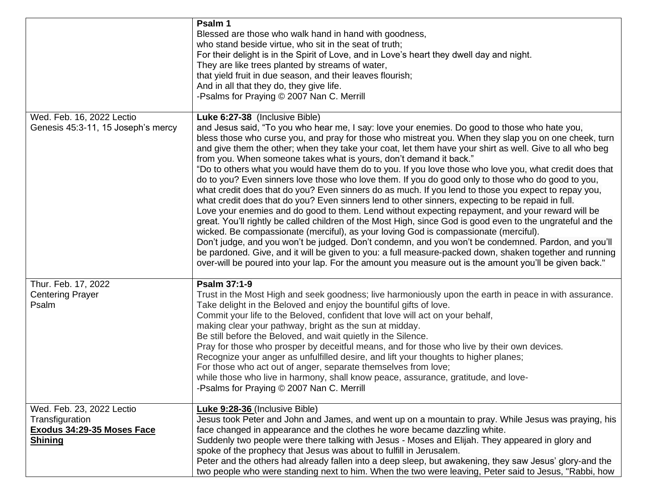|                                                                                              | Psalm 1<br>Blessed are those who walk hand in hand with goodness,<br>who stand beside virtue, who sit in the seat of truth;<br>For their delight is in the Spirit of Love, and in Love's heart they dwell day and night.<br>They are like trees planted by streams of water,<br>that yield fruit in due season, and their leaves flourish;<br>And in all that they do, they give life.<br>-Psalms for Praying © 2007 Nan C. Merrill                                                                                                                                                                                                                                                                                                                                                                                                                                                                                                                                                                                                                                                                                                                                                                                                                                                                                                                                                                                                                                                             |
|----------------------------------------------------------------------------------------------|-------------------------------------------------------------------------------------------------------------------------------------------------------------------------------------------------------------------------------------------------------------------------------------------------------------------------------------------------------------------------------------------------------------------------------------------------------------------------------------------------------------------------------------------------------------------------------------------------------------------------------------------------------------------------------------------------------------------------------------------------------------------------------------------------------------------------------------------------------------------------------------------------------------------------------------------------------------------------------------------------------------------------------------------------------------------------------------------------------------------------------------------------------------------------------------------------------------------------------------------------------------------------------------------------------------------------------------------------------------------------------------------------------------------------------------------------------------------------------------------------|
| Wed. Feb. 16, 2022 Lectio<br>Genesis 45:3-11, 15 Joseph's mercy                              | Luke 6:27-38 (Inclusive Bible)<br>and Jesus said, "To you who hear me, I say: love your enemies. Do good to those who hate you,<br>bless those who curse you, and pray for those who mistreat you. When they slap you on one cheek, turn<br>and give them the other; when they take your coat, let them have your shirt as well. Give to all who beg<br>from you. When someone takes what is yours, don't demand it back."<br>"Do to others what you would have them do to you. If you love those who love you, what credit does that<br>do to you? Even sinners love those who love them. If you do good only to those who do good to you,<br>what credit does that do you? Even sinners do as much. If you lend to those you expect to repay you,<br>what credit does that do you? Even sinners lend to other sinners, expecting to be repaid in full.<br>Love your enemies and do good to them. Lend without expecting repayment, and your reward will be<br>great. You'll rightly be called children of the Most High, since God is good even to the ungrateful and the<br>wicked. Be compassionate (merciful), as your loving God is compassionate (merciful).<br>Don't judge, and you won't be judged. Don't condemn, and you won't be condemned. Pardon, and you'll<br>be pardoned. Give, and it will be given to you: a full measure-packed down, shaken together and running<br>over-will be poured into your lap. For the amount you measure out is the amount you'll be given back." |
| Thur. Feb. 17, 2022<br><b>Centering Prayer</b><br>Psalm                                      | Psalm 37:1-9<br>Trust in the Most High and seek goodness; live harmoniously upon the earth in peace in with assurance.<br>Take delight in the Beloved and enjoy the bountiful gifts of love.<br>Commit your life to the Beloved, confident that love will act on your behalf,<br>making clear your pathway, bright as the sun at midday.<br>Be still before the Beloved, and wait quietly in the Silence.<br>Pray for those who prosper by deceitful means, and for those who live by their own devices.<br>Recognize your anger as unfulfilled desire, and lift your thoughts to higher planes;<br>For those who act out of anger, separate themselves from love;<br>while those who live in harmony, shall know peace, assurance, gratitude, and love-<br>-Psalms for Praying © 2007 Nan C. Merrill                                                                                                                                                                                                                                                                                                                                                                                                                                                                                                                                                                                                                                                                                           |
| Wed. Feb. 23, 2022 Lectio<br>Transfiguration<br>Exodus 34:29-35 Moses Face<br><b>Shining</b> | Luke 9:28-36 (Inclusive Bible)<br>Jesus took Peter and John and James, and went up on a mountain to pray. While Jesus was praying, his<br>face changed in appearance and the clothes he wore became dazzling white.<br>Suddenly two people were there talking with Jesus - Moses and Elijah. They appeared in glory and<br>spoke of the prophecy that Jesus was about to fulfill in Jerusalem.<br>Peter and the others had already fallen into a deep sleep, but awakening, they saw Jesus' glory-and the<br>two people who were standing next to him. When the two were leaving, Peter said to Jesus, "Rabbi, how                                                                                                                                                                                                                                                                                                                                                                                                                                                                                                                                                                                                                                                                                                                                                                                                                                                                              |